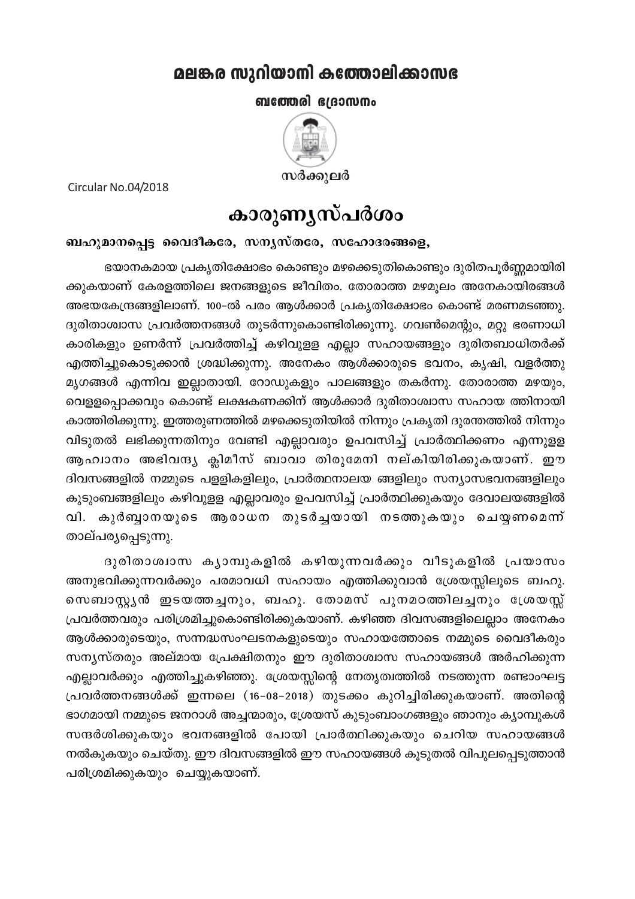## മലങ്കര സുറിയാനി കത്തോലിക്കാസഭ

ബത്തേരി ഭദ്രാസനം



Circular No.04/2018

## കാരുണൃസ്പർശം

## ബഹുമാനപ്പെട്ട വൈദീകരേ, സന്യസ്തരേ, സഹോദരങ്ങളെ,

ഭയാനകമായ പ്രകൃതിക്ഷോഭം കൊണ്ടും മഴക്കെടുതികൊണ്ടും ദുരിതപൂർണ്ണമായിരി ക്കുകയാണ് കേരളത്തിലെ ജനങ്ങളുടെ ജീവിതം. തോരാത്ത മഴമൂലം അനേകായിരങ്ങൾ അഭയകേന്ദ്രങ്ങളിലാണ്. 100–ൽ പരം ആൾക്കാർ പ്രകൃതിക്ഷോഭം കൊണ്ട് മരണമടഞ്ഞു. ദുരിതാശ്വാസ പ്രവർത്തനങ്ങൾ തുടർന്നുകൊണ്ടിരിക്കുന്നു. ഗവൺമെന്റും, മറ്റു ഭരണാധി കാരികളും ഉണർന്ന് പ്രവർത്തിച്ച് കഴിവുളള എല്ലാ സഹായങ്ങളും ദുരിതബാധിതർക്ക് എത്തിച്ചുകൊടുക്കാൻ ശ്രദ്ധിക്കുന്നു. അനേകം ആൾക്കാരുടെ ഭവനം, കൃഷി, വളർത്തു മൃഗങ്ങൾ എന്നിവ ഇല്ലാതായി. റോഡുകളും പാലങ്ങളും തകർന്നു. തോരാത്ത മഴയും, വെളളപ്പൊക്കവും കൊണ്ട് ലക്ഷകണക്കിന് ആൾക്കാർ ദുരിതാശ്വാസ സഹായ ത്തിനായി കാത്തിരിക്കുന്നു. ഇത്തരുണത്തിൽ മഴക്കെടുതിയിൽ നിന്നും പ്രകൃതി ദുരന്തത്തിൽ നിന്നും വിടുതൽ ലഭിക്കുന്നതിനും വേണ്ടി എല്ലാവരും ഉപവസിച്ച് പ്രാർത്ഥിക്കണം എന്നുളള ആഹ്വാനം അഭിവന്ദ്യ ക്ലിമീസ് ബാവാ തിരുമേനി നല്കിയിരിക്കുകയാണ്. ഈ ദിവസങ്ങളിൽ നമ്മുടെ പളളികളിലും, പ്രാർത്ഥനാലയ ങ്ങളിലും സന്യാസഭവനങ്ങളിലും കുടുംബങ്ങളിലും കഴിവുളള എല്ലാവരും ഉപവസിച്ച് പ്രാർത്ഥിക്കുകയും ദേവാലയങ്ങളിൽ വി. കുർബ്ബാനയുടെ ആരാധന തുടർച്ചയായി നടത്തുകയും ചെയ്യണമെന്ന് താല്പര്യപ്പെടുന്നു.

ദുരിതാശ്വാസ കൃാമ്പുകളിൽ കഴിയുന്നവർക്കും വീടുകളിൽ പ്രയാസം അനുഭവിക്കുന്നവർക്കും പരമാവധി സഹായം എത്തിക്കുവാൻ ശ്രേയസ്സിലൂടെ ബഹു. സെബാസ്റ്റ്യൻ ഇടയത്തച്ചനും, ബഹു. തോമസ് പുനമഠത്തിലച്ചനും ശ്രേയസ്സ് പ്രവർത്തവരും പരിശ്രമിച്ചുകൊണ്ടിരിക്കുകയാണ്. കഴിഞ്ഞ ദിവസങ്ങളിലെല്ലാം അനേകം ആൾക്കാരുടെയും, സന്നദ്ധസംഘടനകളുടെയും സഹായത്തോടെ നമ്മുടെ വൈദീകരും സന്യസ്തരും അല്മായ പ്രേക്ഷിതനും ഈ ദുരിതാശ്വാസ സഹായങ്ങൾ അർഹിക്കുന്ന എല്ലാവർക്കും എത്തിച്ചുകഴിഞ്ഞു. ശ്രേയസ്സിന്റെ നേതൃത്വത്തിൽ നടത്തുന്ന രണ്ടാംഘട്ട പ്രവർത്തനങ്ങൾക്ക് ഇന്നലെ (16-08-2018) തുടക്കം കുറിച്ചിരിക്കുകയാണ്. അതിന്റെ ഭാഗമായി നമ്മുടെ ജനറാൾ അച്ചന്മാരും, ശ്രേയസ് കുടുംബാംഗങ്ങളും ഞാനും കൃാമ്പുകൾ സന്ദർശിക്കുകയും ഭവനങ്ങളിൽ പോയി പ്രാർത്ഥിക്കുകയും ചെറിയ സഹായങ്ങൾ നൽകുകയും ചെയ്തു. ഈ ദിവസങ്ങളിൽ ഈ സഹായങ്ങൾ കൂടുതൽ വിപുലപ്പെടുത്താൻ പരിശ്രമിക്കുകയും ചെയ്യുകയാണ്.